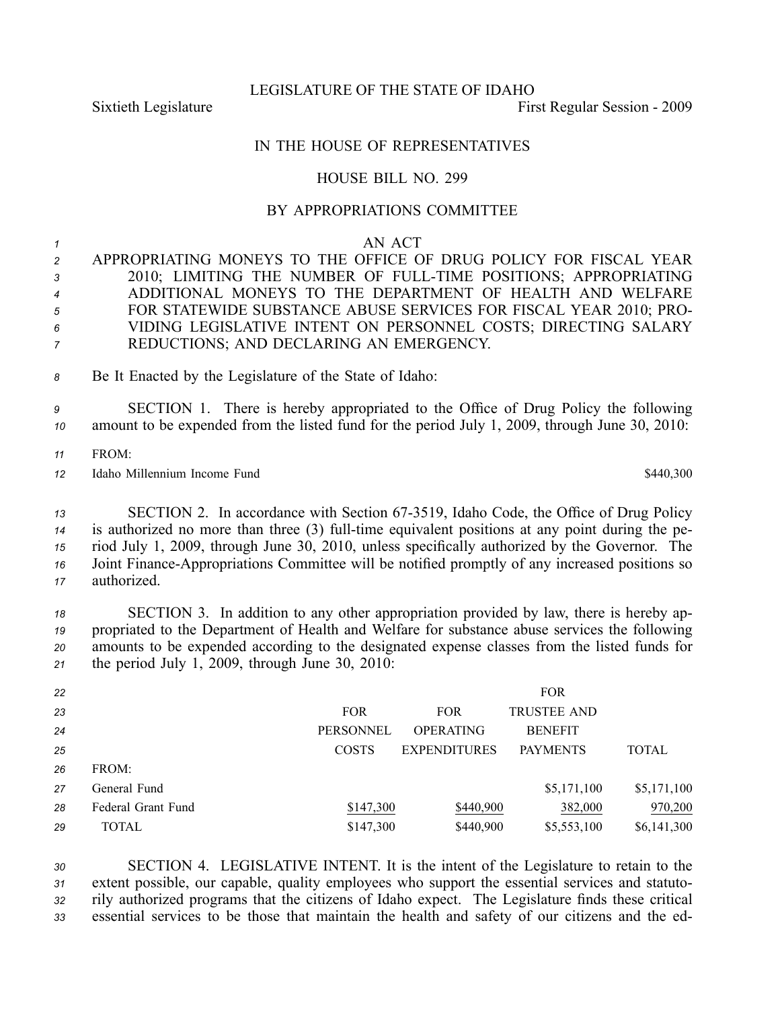LEGISLATURE OF THE STATE OF IDAHO

Sixtieth Legislature First Regular Session - 2009

## IN THE HOUSE OF REPRESENTATIVES

## HOUSE BILL NO. 299

## BY APPROPRIATIONS COMMITTEE

|  |  | AN ACT |
|--|--|--------|
|--|--|--------|

 APPROPRIATING MONEYS TO THE OFFICE OF DRUG POLICY FOR FISCAL YEAR 3 2010; LIMITING THE NUMBER OF FULL-TIME POSITIONS; APPROPRIATING ADDITIONAL MONEYS TO THE DEPARTMENT OF HEALTH AND WELFARE FOR STATEWIDE SUBSTANCE ABUSE SERVICES FOR FISCAL YEAR 2010; PRO- VIDING LEGISLATIVE INTENT ON PERSONNEL COSTS; DIRECTING SALARY REDUCTIONS; AND DECLARING AN EMERGENCY.

*<sup>8</sup>* Be It Enacted by the Legislature of the State of Idaho:

*<sup>9</sup>* SECTION 1. There is hereby appropriated to the Office of Drug Policy the following *<sup>10</sup>* amount to be expended from the listed fund for the period July 1, 2009, through June 30, 2010:

*11* FROM:

*<sup>12</sup>* Idaho Millennium Income Fund \$440,300

 SECTION 2. In accordance with Section 673519, Idaho Code, the Office of Drug Policy is authorized no more than three (3) full-time equivalent positions at any point during the pe- riod July 1, 2009, through June 30, 2010, unless specifically authorized by the Governor. The Joint Finance-Appropriations Committee will be notified promptly of any increased positions so authorized.

 SECTION 3. In addition to any other appropriation provided by law, there is hereby ap- propriated to the Department of Health and Welfare for substance abuse services the following amounts to be expended according to the designated expense classes from the listed funds for the period July 1, 2009, through June 30, 2010:

| 22 |                    |                  |                     | <b>FOR</b>         |              |
|----|--------------------|------------------|---------------------|--------------------|--------------|
| 23 |                    | <b>FOR</b>       | <b>FOR</b>          | <b>TRUSTEE AND</b> |              |
| 24 |                    | <b>PERSONNEL</b> | <b>OPERATING</b>    | <b>BENEFIT</b>     |              |
| 25 |                    | <b>COSTS</b>     | <b>EXPENDITURES</b> | <b>PAYMENTS</b>    | <b>TOTAL</b> |
| 26 | FROM:              |                  |                     |                    |              |
| 27 | General Fund       |                  |                     | \$5,171,100        | \$5,171,100  |
| 28 | Federal Grant Fund | \$147,300        | \$440,900           | 382,000            | 970,200      |
| 29 | <b>TOTAL</b>       | \$147,300        | \$440,900           | \$5,553,100        | \$6,141,300  |

 SECTION 4. LEGISLATIVE INTENT. It is the intent of the Legislature to retain to the extent possible, our capable, quality employees who suppor<sup>t</sup> the essential services and statuto- rily authorized programs that the citizens of Idaho expect. The Legislature finds these critical essential services to be those that maintain the health and safety of our citizens and the ed